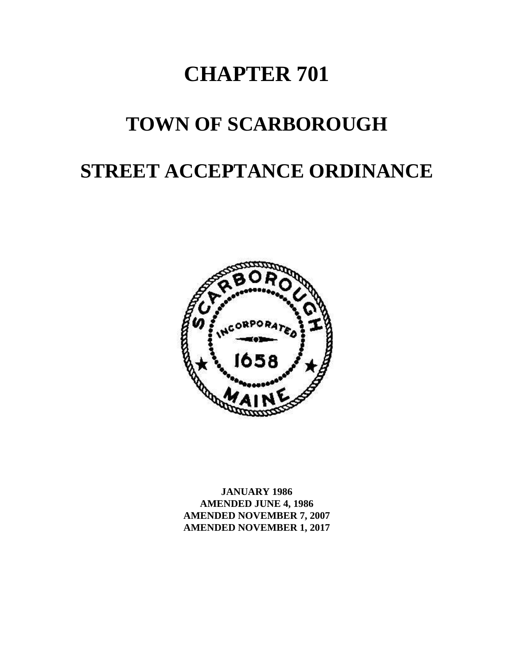# **CHAPTER 701**

## **TOWN OF SCARBOROUGH**

## **STREET ACCEPTANCE ORDINANCE**



**JANUARY 1986 AMENDED JUNE 4, 1986 AMENDED NOVEMBER 7, 2007 AMENDED NOVEMBER 1, 2017**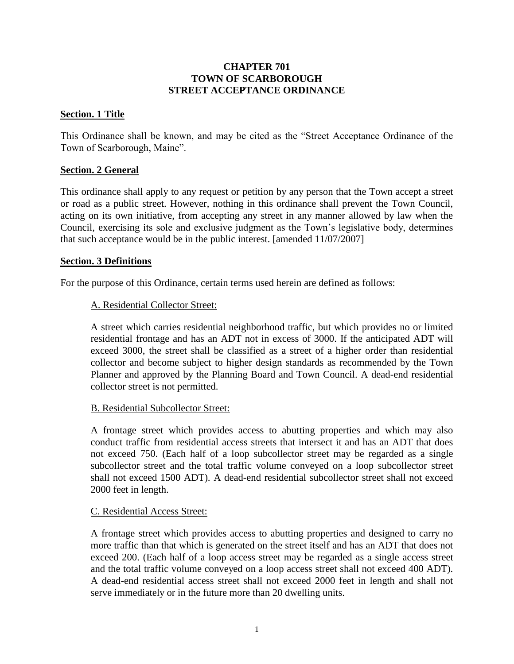## **CHAPTER 701 TOWN OF SCARBOROUGH STREET ACCEPTANCE ORDINANCE**

## <span id="page-2-0"></span>**Section. 1 Title**

This Ordinance shall be known, and may be cited as the "Street Acceptance Ordinance of the Town of Scarborough, Maine".

## <span id="page-2-1"></span>**Section. 2 General**

This ordinance shall apply to any request or petition by any person that the Town accept a street or road as a public street. However, nothing in this ordinance shall prevent the Town Council, acting on its own initiative, from accepting any street in any manner allowed by law when the Council, exercising its sole and exclusive judgment as the Town's legislative body, determines that such acceptance would be in the public interest. [amended 11/07/2007]

## <span id="page-2-2"></span>**Section. 3 Definitions**

<span id="page-2-3"></span>For the purpose of this Ordinance, certain terms used herein are defined as follows:

## A. Residential Collector Street:

A street which carries residential neighborhood traffic, but which provides no or limited residential frontage and has an ADT not in excess of 3000. If the anticipated ADT will exceed 3000, the street shall be classified as a street of a higher order than residential collector and become subject to higher design standards as recommended by the Town Planner and approved by the Planning Board and Town Council. A dead-end residential collector street is not permitted.

## <span id="page-2-4"></span>B. Residential Subcollector Street:

A frontage street which provides access to abutting properties and which may also conduct traffic from residential access streets that intersect it and has an ADT that does not exceed 750. (Each half of a loop subcollector street may be regarded as a single subcollector street and the total traffic volume conveyed on a loop subcollector street shall not exceed 1500 ADT). A dead-end residential subcollector street shall not exceed 2000 feet in length.

## <span id="page-2-5"></span>C. Residential Access Street:

A frontage street which provides access to abutting properties and designed to carry no more traffic than that which is generated on the street itself and has an ADT that does not exceed 200. (Each half of a loop access street may be regarded as a single access street and the total traffic volume conveyed on a loop access street shall not exceed 400 ADT). A dead-end residential access street shall not exceed 2000 feet in length and shall not serve immediately or in the future more than 20 dwelling units.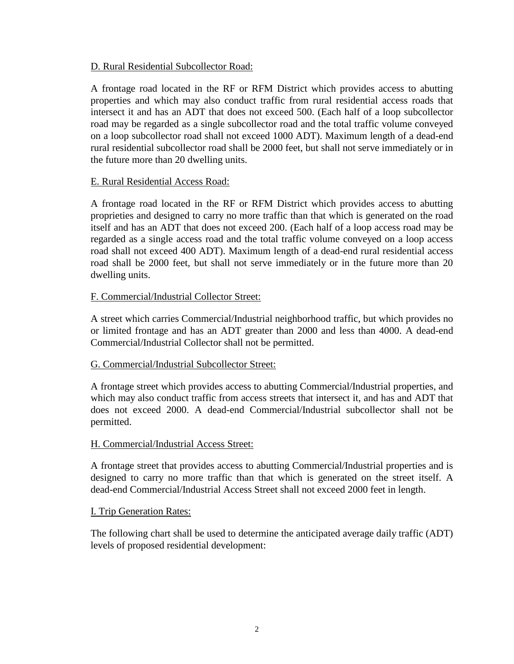## <span id="page-3-0"></span>D. Rural Residential Subcollector Road:

A frontage road located in the RF or RFM District which provides access to abutting properties and which may also conduct traffic from rural residential access roads that intersect it and has an ADT that does not exceed 500. (Each half of a loop subcollector road may be regarded as a single subcollector road and the total traffic volume conveyed on a loop subcollector road shall not exceed 1000 ADT). Maximum length of a dead-end rural residential subcollector road shall be 2000 feet, but shall not serve immediately or in the future more than 20 dwelling units.

## <span id="page-3-1"></span>E. Rural Residential Access Road:

A frontage road located in the RF or RFM District which provides access to abutting proprieties and designed to carry no more traffic than that which is generated on the road itself and has an ADT that does not exceed 200. (Each half of a loop access road may be regarded as a single access road and the total traffic volume conveyed on a loop access road shall not exceed 400 ADT). Maximum length of a dead-end rural residential access road shall be 2000 feet, but shall not serve immediately or in the future more than 20 dwelling units.

## <span id="page-3-2"></span>F. Commercial/Industrial Collector Street:

A street which carries Commercial/Industrial neighborhood traffic, but which provides no or limited frontage and has an ADT greater than 2000 and less than 4000. A dead-end Commercial/Industrial Collector shall not be permitted.

## <span id="page-3-3"></span>G. Commercial/Industrial Subcollector Street:

A frontage street which provides access to abutting Commercial/Industrial properties, and which may also conduct traffic from access streets that intersect it, and has and ADT that does not exceed 2000. A dead-end Commercial/Industrial subcollector shall not be permitted.

## <span id="page-3-4"></span>H. Commercial/Industrial Access Street:

A frontage street that provides access to abutting Commercial/Industrial properties and is designed to carry no more traffic than that which is generated on the street itself. A dead-end Commercial/Industrial Access Street shall not exceed 2000 feet in length.

## <span id="page-3-5"></span>I. Trip Generation Rates:

The following chart shall be used to determine the anticipated average daily traffic (ADT) levels of proposed residential development: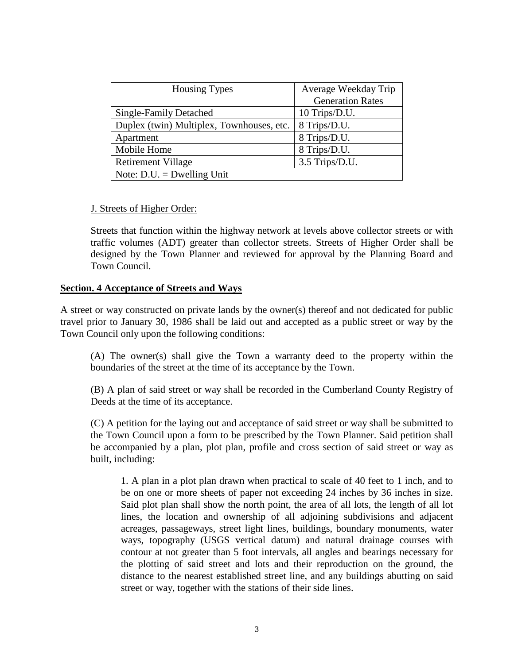| <b>Housing Types</b>                      | Average Weekday Trip    |  |  |  |
|-------------------------------------------|-------------------------|--|--|--|
|                                           | <b>Generation Rates</b> |  |  |  |
| Single-Family Detached                    | 10 Trips/D.U.           |  |  |  |
| Duplex (twin) Multiplex, Townhouses, etc. | 8 Trips/D.U.            |  |  |  |
| Apartment                                 | 8 Trips/D.U.            |  |  |  |
| Mobile Home                               | 8 Trips/D.U.            |  |  |  |
| <b>Retirement Village</b>                 | 3.5 Trips/D.U.          |  |  |  |
| Note: $D.U. = Dwelling Unit$              |                         |  |  |  |

#### <span id="page-4-0"></span>J. Streets of Higher Order:

Streets that function within the highway network at levels above collector streets or with traffic volumes (ADT) greater than collector streets. Streets of Higher Order shall be designed by the Town Planner and reviewed for approval by the Planning Board and Town Council.

## <span id="page-4-1"></span>**Section. 4 Acceptance of Streets and Ways**

A street or way constructed on private lands by the owner(s) thereof and not dedicated for public travel prior to January 30, 1986 shall be laid out and accepted as a public street or way by the Town Council only upon the following conditions:

(A) The owner(s) shall give the Town a warranty deed to the property within the boundaries of the street at the time of its acceptance by the Town.

(B) A plan of said street or way shall be recorded in the Cumberland County Registry of Deeds at the time of its acceptance.

(C) A petition for the laying out and acceptance of said street or way shall be submitted to the Town Council upon a form to be prescribed by the Town Planner. Said petition shall be accompanied by a plan, plot plan, profile and cross section of said street or way as built, including:

1. A plan in a plot plan drawn when practical to scale of 40 feet to 1 inch, and to be on one or more sheets of paper not exceeding 24 inches by 36 inches in size. Said plot plan shall show the north point, the area of all lots, the length of all lot lines, the location and ownership of all adjoining subdivisions and adjacent acreages, passageways, street light lines, buildings, boundary monuments, water ways, topography (USGS vertical datum) and natural drainage courses with contour at not greater than 5 foot intervals, all angles and bearings necessary for the plotting of said street and lots and their reproduction on the ground, the distance to the nearest established street line, and any buildings abutting on said street or way, together with the stations of their side lines.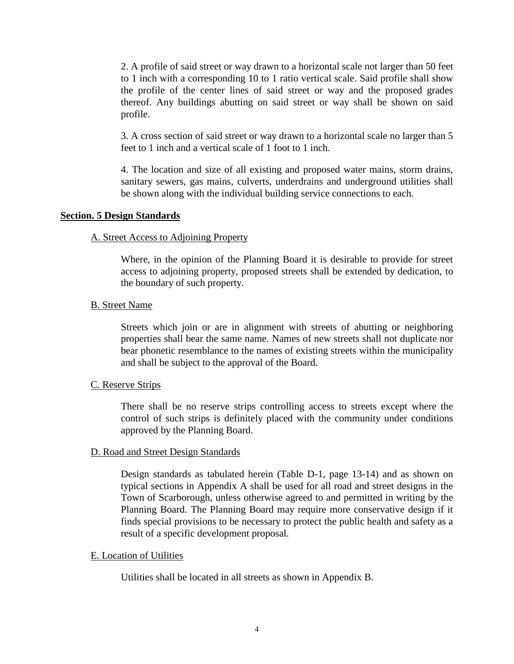2. A profile of said street or way drawn to a horizontal scale not larger than 50 feet to 1 inch with a corresponding 10 to 1 ratio vertical scale. Said profile shall show the profile of the center lines of said street or way and the proposed grades thereof. Any buildings abutting on said street or way shall be shown on said profile.

3. A cross section of said street or way drawn to a horizontal scale no larger than 5 feet to 1 inch and a vertical scale of 1 foot to 1 inch.

4. The location and size of all existing and proposed water mains, storm drains, sanitary sewers, gas mains, culverts, underdrains and underground utilities shall be shown along with the individual building service connections to each.

#### <span id="page-5-1"></span><span id="page-5-0"></span>**Section. 5 Design Standards**

#### A. Street Access to Adjoining Property

Where, in the opinion of the Planning Board it is desirable to provide for street access to adjoining property, proposed streets shall be extended by dedication, to the boundary of such property.

#### <span id="page-5-2"></span>B. Street Name

Streets which join or are in alignment with streets of abutting or neighboring properties shall bear the same name. Names of new streets shall not duplicate nor bear phonetic resemblance to the names of existing streets within the municipality and shall be subject to the approval of the Board.

## <span id="page-5-3"></span>C. Reserve Strips

There shall be no reserve strips controlling access to streets except where the control of such strips is definitely placed with the community under conditions approved by the Planning Board.

## <span id="page-5-4"></span>D. Road and Street Design Standards

Design standards as tabulated herein (Table D-1, page 13-14) and as shown on typical sections in Appendix A shall be used for all road and street designs in the Town of Scarborough, unless otherwise agreed to and permitted in writing by the Planning Board. The Planning Board may require more conservative design if it finds special provisions to be necessary to protect the public health and safety as a result of a specific development proposal.

#### <span id="page-5-5"></span>E. Location of Utilities

Utilities shall be located in all streets as shown in Appendix B.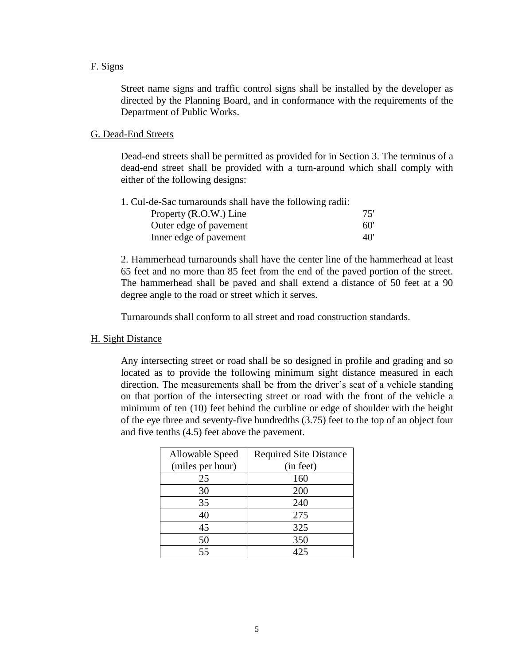#### <span id="page-6-0"></span>F. Signs

Street name signs and traffic control signs shall be installed by the developer as directed by the Planning Board, and in conformance with the requirements of the Department of Public Works.

#### <span id="page-6-1"></span>G. Dead-End Streets

Dead-end streets shall be permitted as provided for in Section 3. The terminus of a dead-end street shall be provided with a turn-around which shall comply with either of the following designs:

| 1. Cul-de-Sac turnarounds shall have the following radii: |     |
|-----------------------------------------------------------|-----|
| Property (R.O.W.) Line                                    | 75' |
| Outer edge of pavement                                    | 60' |
| Inner edge of pavement                                    | 40' |

2. Hammerhead turnarounds shall have the center line of the hammerhead at least 65 feet and no more than 85 feet from the end of the paved portion of the street. The hammerhead shall be paved and shall extend a distance of 50 feet at a 90 degree angle to the road or street which it serves.

Turnarounds shall conform to all street and road construction standards.

## <span id="page-6-2"></span>H. Sight Distance

Any intersecting street or road shall be so designed in profile and grading and so located as to provide the following minimum sight distance measured in each direction. The measurements shall be from the driver's seat of a vehicle standing on that portion of the intersecting street or road with the front of the vehicle a minimum of ten (10) feet behind the curbline or edge of shoulder with the height of the eye three and seventy-five hundredths (3.75) feet to the top of an object four and five tenths (4.5) feet above the pavement.

| Allowable Speed  | <b>Required Site Distance</b> |
|------------------|-------------------------------|
| (miles per hour) | (in feet)                     |
| 25               | 160                           |
| 30               | 200                           |
| 35               | 240                           |
| 40               | 275                           |
| 45               | 325                           |
| 50               | 350                           |
| 55               | 425                           |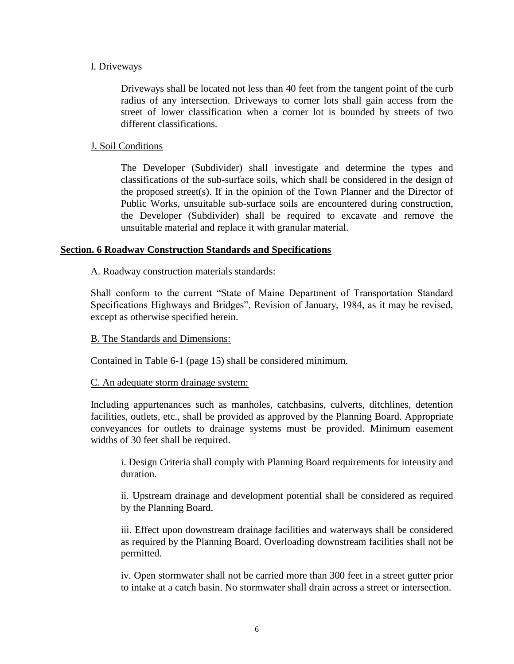## <span id="page-7-0"></span>I. Driveways

Driveways shall be located not less than 40 feet from the tangent point of the curb radius of any intersection. Driveways to corner lots shall gain access from the street of lower classification when a corner lot is bounded by streets of two different classifications.

## <span id="page-7-1"></span>J. Soil Conditions

The Developer (Subdivider) shall investigate and determine the types and classifications of the sub-surface soils, which shall be considered in the design of the proposed street(s). If in the opinion of the Town Planner and the Director of Public Works, unsuitable sub-surface soils are encountered during construction, the Developer (Subdivider) shall be required to excavate and remove the unsuitable material and replace it with granular material.

## <span id="page-7-3"></span><span id="page-7-2"></span>**Section. 6 Roadway Construction Standards and Specifications**

## A. Roadway construction materials standards:

Shall conform to the current "State of Maine Department of Transportation Standard Specifications Highways and Bridges", Revision of January, 1984, as it may be revised, except as otherwise specified herein.

## <span id="page-7-4"></span>B. The Standards and Dimensions:

Contained in Table 6-1 (page 15) shall be considered minimum.

## <span id="page-7-5"></span>C. An adequate storm drainage system:

Including appurtenances such as manholes, catchbasins, culverts, ditchlines, detention facilities, outlets, etc., shall be provided as approved by the Planning Board. Appropriate conveyances for outlets to drainage systems must be provided. Minimum easement widths of 30 feet shall be required.

i. Design Criteria shall comply with Planning Board requirements for intensity and duration.

ii. Upstream drainage and development potential shall be considered as required by the Planning Board.

iii. Effect upon downstream drainage facilities and waterways shall be considered as required by the Planning Board. Overloading downstream facilities shall not be permitted.

iv. Open stormwater shall not be carried more than 300 feet in a street gutter prior to intake at a catch basin. No stormwater shall drain across a street or intersection.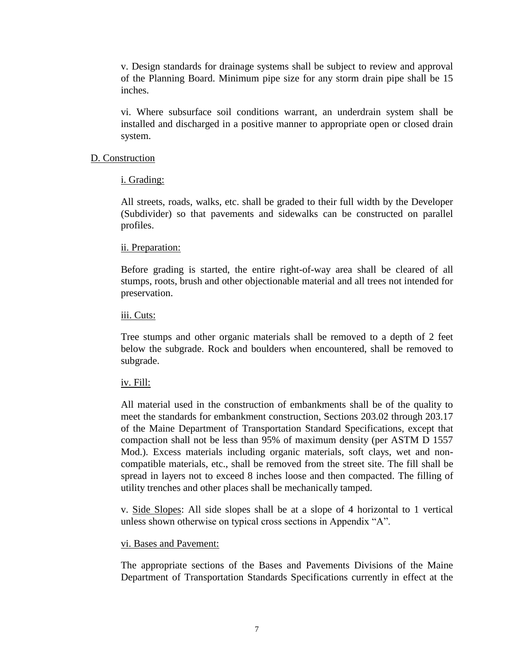v. Design standards for drainage systems shall be subject to review and approval of the Planning Board. Minimum pipe size for any storm drain pipe shall be 15 inches.

vi. Where subsurface soil conditions warrant, an underdrain system shall be installed and discharged in a positive manner to appropriate open or closed drain system.

#### <span id="page-8-1"></span><span id="page-8-0"></span>D. Construction

## i. Grading:

All streets, roads, walks, etc. shall be graded to their full width by the Developer (Subdivider) so that pavements and sidewalks can be constructed on parallel profiles.

#### <span id="page-8-2"></span>ii. Preparation:

Before grading is started, the entire right-of-way area shall be cleared of all stumps, roots, brush and other objectionable material and all trees not intended for preservation.

#### <span id="page-8-3"></span>iii. Cuts:

Tree stumps and other organic materials shall be removed to a depth of 2 feet below the subgrade. Rock and boulders when encountered, shall be removed to subgrade.

#### <span id="page-8-4"></span>iv. Fill:

All material used in the construction of embankments shall be of the quality to meet the standards for embankment construction, Sections 203.02 through 203.17 of the Maine Department of Transportation Standard Specifications, except that compaction shall not be less than 95% of maximum density (per ASTM D 1557 Mod.). Excess materials including organic materials, soft clays, wet and noncompatible materials, etc., shall be removed from the street site. The fill shall be spread in layers not to exceed 8 inches loose and then compacted. The filling of utility trenches and other places shall be mechanically tamped.

v. Side Slopes: All side slopes shall be at a slope of 4 horizontal to 1 vertical unless shown otherwise on typical cross sections in Appendix "A".

## <span id="page-8-5"></span>vi. Bases and Pavement:

The appropriate sections of the Bases and Pavements Divisions of the Maine Department of Transportation Standards Specifications currently in effect at the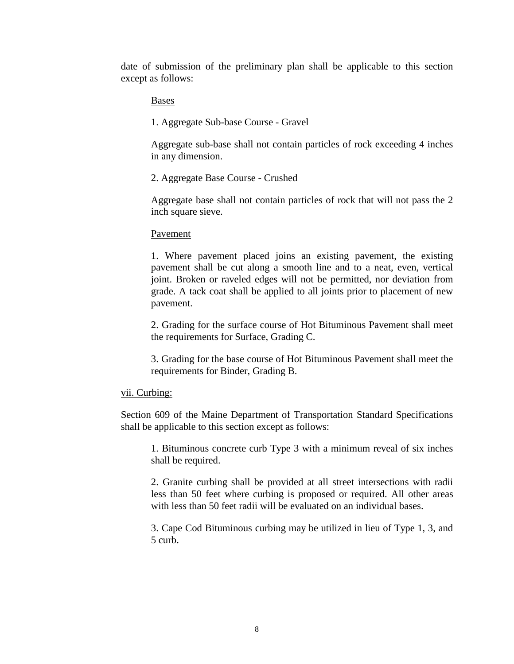date of submission of the preliminary plan shall be applicable to this section except as follows:

Bases

1. Aggregate Sub-base Course - Gravel

Aggregate sub-base shall not contain particles of rock exceeding 4 inches in any dimension.

2. Aggregate Base Course - Crushed

Aggregate base shall not contain particles of rock that will not pass the 2 inch square sieve.

Pavement

1. Where pavement placed joins an existing pavement, the existing pavement shall be cut along a smooth line and to a neat, even, vertical joint. Broken or raveled edges will not be permitted, nor deviation from grade. A tack coat shall be applied to all joints prior to placement of new pavement.

2. Grading for the surface course of Hot Bituminous Pavement shall meet the requirements for Surface, Grading C.

3. Grading for the base course of Hot Bituminous Pavement shall meet the requirements for Binder, Grading B.

## <span id="page-9-0"></span>vii. Curbing:

Section 609 of the Maine Department of Transportation Standard Specifications shall be applicable to this section except as follows:

1. Bituminous concrete curb Type 3 with a minimum reveal of six inches shall be required.

2. Granite curbing shall be provided at all street intersections with radii less than 50 feet where curbing is proposed or required. All other areas with less than 50 feet radii will be evaluated on an individual bases.

3. Cape Cod Bituminous curbing may be utilized in lieu of Type 1, 3, and 5 curb.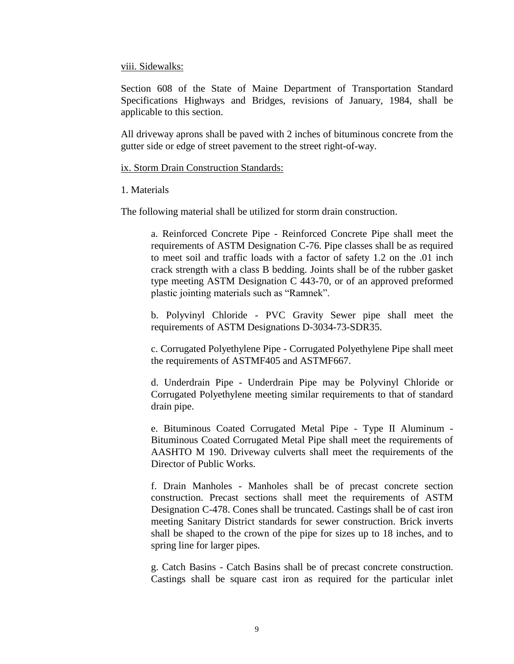#### <span id="page-10-0"></span>viii. Sidewalks:

Section 608 of the State of Maine Department of Transportation Standard Specifications Highways and Bridges, revisions of January, 1984, shall be applicable to this section.

All driveway aprons shall be paved with 2 inches of bituminous concrete from the gutter side or edge of street pavement to the street right-of-way.

#### <span id="page-10-1"></span>ix. Storm Drain Construction Standards:

## 1. Materials

The following material shall be utilized for storm drain construction.

a. Reinforced Concrete Pipe - Reinforced Concrete Pipe shall meet the requirements of ASTM Designation C-76. Pipe classes shall be as required to meet soil and traffic loads with a factor of safety 1.2 on the .01 inch crack strength with a class B bedding. Joints shall be of the rubber gasket type meeting ASTM Designation C 443-70, or of an approved preformed plastic jointing materials such as "Ramnek".

b. Polyvinyl Chloride - PVC Gravity Sewer pipe shall meet the requirements of ASTM Designations D-3034-73-SDR35.

c. Corrugated Polyethylene Pipe - Corrugated Polyethylene Pipe shall meet the requirements of ASTMF405 and ASTMF667.

d. Underdrain Pipe - Underdrain Pipe may be Polyvinyl Chloride or Corrugated Polyethylene meeting similar requirements to that of standard drain pipe.

e. Bituminous Coated Corrugated Metal Pipe - Type II Aluminum - Bituminous Coated Corrugated Metal Pipe shall meet the requirements of AASHTO M 190. Driveway culverts shall meet the requirements of the Director of Public Works.

f. Drain Manholes - Manholes shall be of precast concrete section construction. Precast sections shall meet the requirements of ASTM Designation C-478. Cones shall be truncated. Castings shall be of cast iron meeting Sanitary District standards for sewer construction. Brick inverts shall be shaped to the crown of the pipe for sizes up to 18 inches, and to spring line for larger pipes.

g. Catch Basins - Catch Basins shall be of precast concrete construction. Castings shall be square cast iron as required for the particular inlet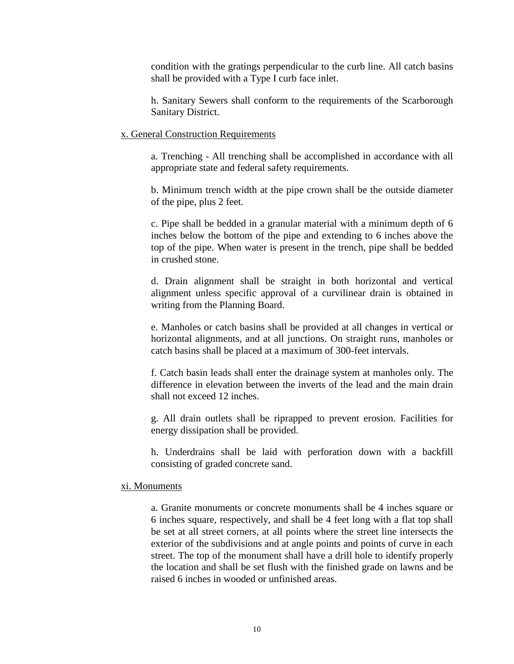condition with the gratings perpendicular to the curb line. All catch basins shall be provided with a Type I curb face inlet.

h. Sanitary Sewers shall conform to the requirements of the Scarborough Sanitary District.

#### <span id="page-11-0"></span>x. General Construction Requirements

a. Trenching - All trenching shall be accomplished in accordance with all appropriate state and federal safety requirements.

b. Minimum trench width at the pipe crown shall be the outside diameter of the pipe, plus 2 feet.

c. Pipe shall be bedded in a granular material with a minimum depth of 6 inches below the bottom of the pipe and extending to 6 inches above the top of the pipe. When water is present in the trench, pipe shall be bedded in crushed stone.

d. Drain alignment shall be straight in both horizontal and vertical alignment unless specific approval of a curvilinear drain is obtained in writing from the Planning Board.

e. Manholes or catch basins shall be provided at all changes in vertical or horizontal alignments, and at all junctions. On straight runs, manholes or catch basins shall be placed at a maximum of 300-feet intervals.

f. Catch basin leads shall enter the drainage system at manholes only. The difference in elevation between the inverts of the lead and the main drain shall not exceed 12 inches.

g. All drain outlets shall be riprapped to prevent erosion. Facilities for energy dissipation shall be provided.

h. Underdrains shall be laid with perforation down with a backfill consisting of graded concrete sand.

#### <span id="page-11-1"></span>xi. Monuments

a. Granite monuments or concrete monuments shall be 4 inches square or 6 inches square, respectively, and shall be 4 feet long with a flat top shall be set at all street corners, at all points where the street line intersects the exterior of the subdivisions and at angle points and points of curve in each street. The top of the monument shall have a drill hole to identify properly the location and shall be set flush with the finished grade on lawns and be raised 6 inches in wooded or unfinished areas.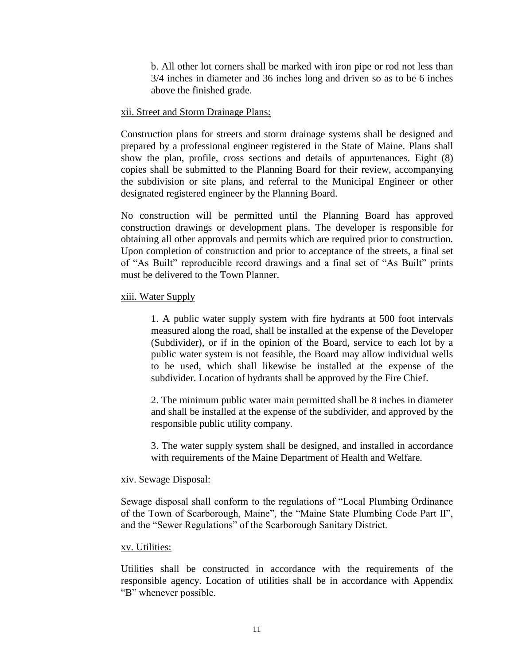b. All other lot corners shall be marked with iron pipe or rod not less than 3/4 inches in diameter and 36 inches long and driven so as to be 6 inches above the finished grade.

#### <span id="page-12-0"></span>xii. Street and Storm Drainage Plans:

Construction plans for streets and storm drainage systems shall be designed and prepared by a professional engineer registered in the State of Maine. Plans shall show the plan, profile, cross sections and details of appurtenances. Eight (8) copies shall be submitted to the Planning Board for their review, accompanying the subdivision or site plans, and referral to the Municipal Engineer or other designated registered engineer by the Planning Board.

No construction will be permitted until the Planning Board has approved construction drawings or development plans. The developer is responsible for obtaining all other approvals and permits which are required prior to construction. Upon completion of construction and prior to acceptance of the streets, a final set of "As Built" reproducible record drawings and a final set of "As Built" prints must be delivered to the Town Planner.

#### <span id="page-12-1"></span>xiii. Water Supply

1. A public water supply system with fire hydrants at 500 foot intervals measured along the road, shall be installed at the expense of the Developer (Subdivider), or if in the opinion of the Board, service to each lot by a public water system is not feasible, the Board may allow individual wells to be used, which shall likewise be installed at the expense of the subdivider. Location of hydrants shall be approved by the Fire Chief.

2. The minimum public water main permitted shall be 8 inches in diameter and shall be installed at the expense of the subdivider, and approved by the responsible public utility company.

3. The water supply system shall be designed, and installed in accordance with requirements of the Maine Department of Health and Welfare.

## <span id="page-12-2"></span>xiv. Sewage Disposal:

Sewage disposal shall conform to the regulations of "Local Plumbing Ordinance of the Town of Scarborough, Maine", the "Maine State Plumbing Code Part II", and the "Sewer Regulations" of the Scarborough Sanitary District.

## <span id="page-12-3"></span>xv. Utilities:

Utilities shall be constructed in accordance with the requirements of the responsible agency. Location of utilities shall be in accordance with Appendix "B" whenever possible.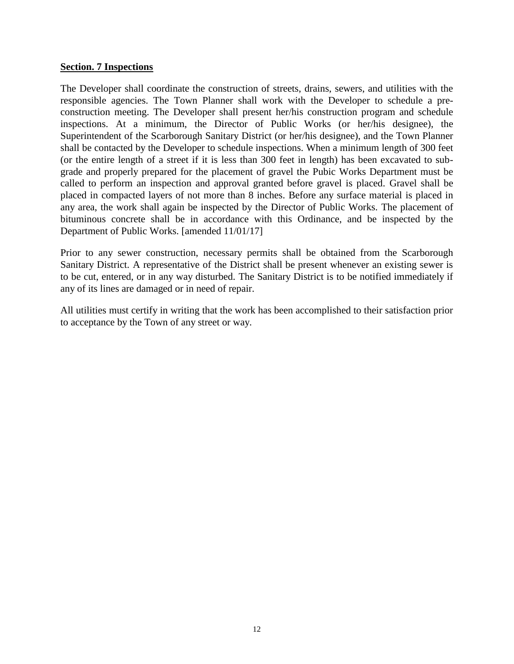## <span id="page-13-0"></span>**Section. 7 Inspections**

The Developer shall coordinate the construction of streets, drains, sewers, and utilities with the responsible agencies. The Town Planner shall work with the Developer to schedule a preconstruction meeting. The Developer shall present her/his construction program and schedule inspections. At a minimum, the Director of Public Works (or her/his designee), the Superintendent of the Scarborough Sanitary District (or her/his designee), and the Town Planner shall be contacted by the Developer to schedule inspections. When a minimum length of 300 feet (or the entire length of a street if it is less than 300 feet in length) has been excavated to subgrade and properly prepared for the placement of gravel the Pubic Works Department must be called to perform an inspection and approval granted before gravel is placed. Gravel shall be placed in compacted layers of not more than 8 inches. Before any surface material is placed in any area, the work shall again be inspected by the Director of Public Works. The placement of bituminous concrete shall be in accordance with this Ordinance, and be inspected by the Department of Public Works. [amended 11/01/17]

Prior to any sewer construction, necessary permits shall be obtained from the Scarborough Sanitary District. A representative of the District shall be present whenever an existing sewer is to be cut, entered, or in any way disturbed. The Sanitary District is to be notified immediately if any of its lines are damaged or in need of repair.

All utilities must certify in writing that the work has been accomplished to their satisfaction prior to acceptance by the Town of any street or way.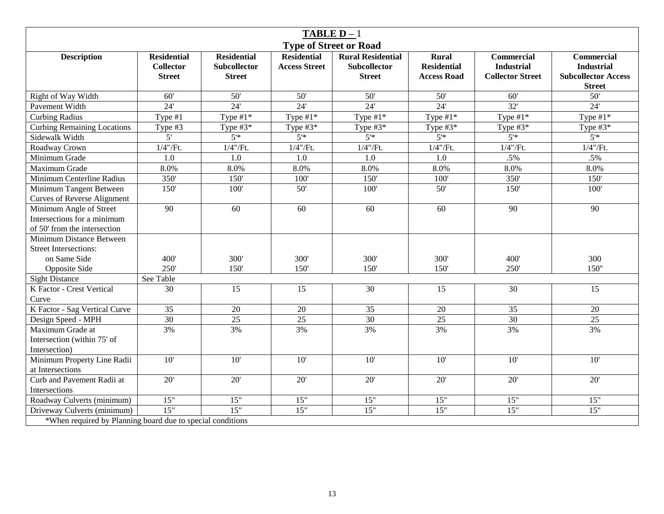| <b>TABLE D</b> $-1$                                                                    |                                                         |                                                            |                                            |                                                                  |                                                          |                                                                   |                                                                                       |  |  |
|----------------------------------------------------------------------------------------|---------------------------------------------------------|------------------------------------------------------------|--------------------------------------------|------------------------------------------------------------------|----------------------------------------------------------|-------------------------------------------------------------------|---------------------------------------------------------------------------------------|--|--|
| <b>Type of Street or Road</b>                                                          |                                                         |                                                            |                                            |                                                                  |                                                          |                                                                   |                                                                                       |  |  |
| <b>Description</b>                                                                     | <b>Residential</b><br><b>Collector</b><br><b>Street</b> | <b>Residential</b><br><b>Subcollector</b><br><b>Street</b> | <b>Residential</b><br><b>Access Street</b> | <b>Rural Residential</b><br><b>Subcollector</b><br><b>Street</b> | <b>Rural</b><br><b>Residential</b><br><b>Access Road</b> | <b>Commercial</b><br><b>Industrial</b><br><b>Collector Street</b> | <b>Commercial</b><br><b>Industrial</b><br><b>Subcollector Access</b><br><b>Street</b> |  |  |
| Right of Way Width                                                                     | 60'                                                     | 50'                                                        | 50'                                        | 50'                                                              | 50'                                                      | 60'                                                               | $50'$                                                                                 |  |  |
| Pavement Width                                                                         | 24'                                                     | $\overline{24}$                                            | 24'                                        | 24'                                                              | 24'                                                      | $\overline{32}$                                                   | $\overline{24}$                                                                       |  |  |
| <b>Curbing Radius</b>                                                                  | Type $#1$                                               | Type $#1*$                                                 | Type $#1*$                                 | Type $#1*$                                                       | Type $#1*$                                               | Type $#1*$                                                        | Type $#1*$                                                                            |  |  |
| <b>Curbing Remaining Locations</b>                                                     | Type #3                                                 | Type $#3*$                                                 | Type $#3*$                                 | Type $#3*$                                                       | Type $#3^*$                                              | Type $#3^*$                                                       | Type $#3^*$                                                                           |  |  |
| Sidewalk Width                                                                         | $\overline{5}$                                          | 5'                                                         | 5'                                         | 5'                                                               | 5'                                                       | 5'                                                                | 5'                                                                                    |  |  |
| Roadway Crown                                                                          | $1/4$ "/Ft.                                             | $1/4$ "/Ft.                                                | $1/4$ "/Ft.                                | $1/4$ "/Ft.                                                      | $1/4$ "/Ft.                                              | $1/4$ "/ $Ft$ .                                                   | $1/4$ "/Ft.                                                                           |  |  |
| Minimum Grade                                                                          | 1.0                                                     | 1.0                                                        | 1.0                                        | 1.0                                                              | 1.0                                                      | .5%                                                               | .5%                                                                                   |  |  |
| Maximum Grade                                                                          | 8.0%                                                    | 8.0%                                                       | 8.0%                                       | 8.0%                                                             | 8.0%                                                     | 8.0%                                                              | 8.0%                                                                                  |  |  |
| Minimum Centerline Radius                                                              | 350'                                                    | 150'                                                       | 100'                                       | 150'                                                             | 100'                                                     | 350'                                                              | 150'                                                                                  |  |  |
| Minimum Tangent Between<br><b>Curves of Reverse Alignment</b>                          | 150'                                                    | 100'                                                       | 50'                                        | 100'                                                             | 50'                                                      | 150'                                                              | 100'                                                                                  |  |  |
| Minimum Angle of Street<br>Intersections for a minimum<br>of 50' from the intersection | 90                                                      | 60                                                         | 60                                         | 60                                                               | 60                                                       | 90                                                                | 90                                                                                    |  |  |
| Minimum Distance Between<br><b>Street Intersections:</b>                               |                                                         |                                                            |                                            |                                                                  |                                                          |                                                                   |                                                                                       |  |  |
| on Same Side                                                                           | 400'                                                    | 300'                                                       | 300'                                       | 300'                                                             | 300'                                                     | 400'                                                              | 300                                                                                   |  |  |
| Opposite Side                                                                          | 250'                                                    | 150'                                                       | 150'                                       | 150'                                                             | 150'                                                     | 250'                                                              | 150"                                                                                  |  |  |
| <b>Sight Distance</b>                                                                  | See Table                                               |                                                            |                                            |                                                                  |                                                          |                                                                   |                                                                                       |  |  |
| K Factor - Crest Vertical<br>Curve                                                     | 30                                                      | 15                                                         | 15                                         | 30                                                               | 15                                                       | 30                                                                | 15                                                                                    |  |  |
| K Factor - Sag Vertical Curve                                                          | 35                                                      | 20                                                         | 20                                         | 35                                                               | 20                                                       | 35                                                                | 20                                                                                    |  |  |
| Design Speed - MPH                                                                     | 30                                                      | $\overline{25}$                                            | $\overline{25}$                            | 30                                                               | $\overline{25}$                                          | $\overline{30}$                                                   | $\overline{25}$                                                                       |  |  |
| Maximum Grade at<br>Intersection (within 75' of<br>Intersection)                       | 3%                                                      | 3%                                                         | 3%                                         | 3%                                                               | 3%                                                       | 3%                                                                | 3%                                                                                    |  |  |
| Minimum Property Line Radii<br>at Intersections                                        | 10'                                                     | 10'                                                        | 10'                                        | 10'                                                              | 10'                                                      | 10'                                                               | 10'                                                                                   |  |  |
| Curb and Pavement Radii at<br>Intersections                                            | 20'                                                     | 20'                                                        | 20'                                        | 20'                                                              | 20'                                                      | 20'                                                               | 20'                                                                                   |  |  |
| Roadway Culverts (minimum)                                                             | 15"                                                     | 15"                                                        | 15"                                        | 15"                                                              | 15"                                                      | 15"                                                               | 15"                                                                                   |  |  |
| Driveway Culverts (minimum)                                                            | 15"                                                     | 15"                                                        | 15"                                        | 15"                                                              | 15"                                                      | 15"                                                               | 15"                                                                                   |  |  |
| *When required by Planning board due to special conditions                             |                                                         |                                                            |                                            |                                                                  |                                                          |                                                                   |                                                                                       |  |  |